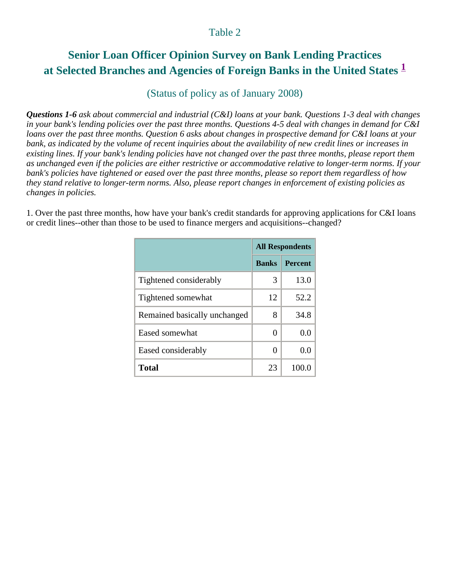# **Senior Loan Officer Opinion Survey on Bank Lending Practices at Selected Branches and Agencies of Foreign Banks in the United States <sup>1</sup>**

## (Status of policy as of January 2008)

*Questions 1-6 ask about commercial and industrial (C&I) loans at your bank. Questions 1-3 deal with changes in your bank's lending policies over the past three months. Questions 4-5 deal with changes in demand for C&I loans over the past three months. Question 6 asks about changes in prospective demand for C&I loans at your bank, as indicated by the volume of recent inquiries about the availability of new credit lines or increases in existing lines. If your bank's lending policies have not changed over the past three months, please report them as unchanged even if the policies are either restrictive or accommodative relative to longer-term norms. If your bank's policies have tightened or eased over the past three months, please so report them regardless of how they stand relative to longer-term norms. Also, please report changes in enforcement of existing policies as changes in policies.* 

1. Over the past three months, how have your bank's credit standards for approving applications for C&I loans or credit lines--other than those to be used to finance mergers and acquisitions--changed?

|                              | <b>All Respondents</b> |                |
|------------------------------|------------------------|----------------|
|                              | <b>Banks</b>           | <b>Percent</b> |
| Tightened considerably       | 3                      | 13.0           |
| Tightened somewhat           | 12                     | 52.2           |
| Remained basically unchanged | 8                      | 34.8           |
| Eased somewhat               | 0                      | 0.0            |
| Eased considerably           | 0                      | 0.0            |
| <b>Total</b>                 | 23                     | 100.           |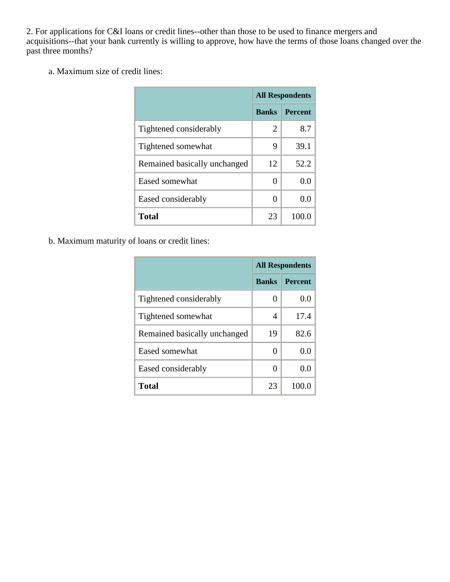2. For applications for C&I loans or credit lines--other than those to be used to finance mergers and acquisitions--that your bank currently is willing to approve, how have the terms of those loans changed over the past three months?

a. Maximum size of credit lines:

|                              | <b>All Respondents</b> |                |
|------------------------------|------------------------|----------------|
|                              | <b>Banks</b>           | <b>Percent</b> |
| Tightened considerably       | 2                      | 8.7            |
| Tightened somewhat           | 9                      | 39.1           |
| Remained basically unchanged | 12                     | 52.2           |
| Eased somewhat               | 0                      | 0.0            |
| Eased considerably           | 0                      | 0.0            |
| <b>Total</b>                 | 23                     | 100.           |

b. Maximum maturity of loans or credit lines:

|                              | <b>All Respondents</b> |                |
|------------------------------|------------------------|----------------|
|                              | <b>Banks</b>           | <b>Percent</b> |
| Tightened considerably       | 0                      | 0.0            |
| Tightened somewhat           | 4                      | 17.4           |
| Remained basically unchanged | 19                     | 82.6           |
| Eased somewhat               | 0                      | 0.0            |
| Eased considerably           | 0                      | 0.0            |
| Total                        | 23                     | 100.0          |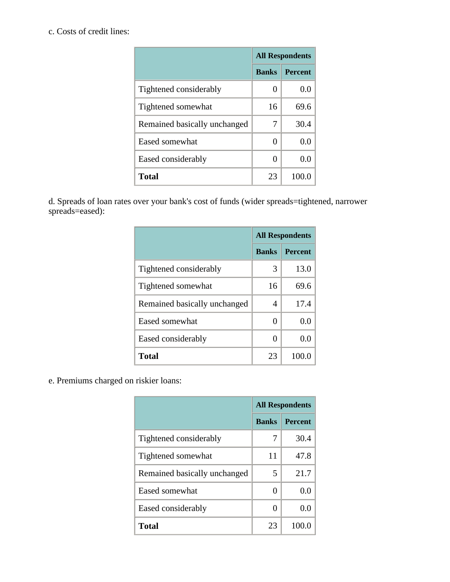## c. Costs of credit lines:

|                              | <b>All Respondents</b> |                |
|------------------------------|------------------------|----------------|
|                              | <b>Banks</b>           | <b>Percent</b> |
| Tightened considerably       | 0                      | 0.0            |
| Tightened somewhat           | 16                     | 69.6           |
| Remained basically unchanged | 7                      | 30.4           |
| Eased somewhat               | $\mathbf{0}$           | 0.0            |
| Eased considerably           | 0                      | 0.0            |
| <b>Total</b>                 | 23                     | 100.0          |

d. Spreads of loan rates over your bank's cost of funds (wider spreads=tightened, narrower spreads=eased):

|                              | <b>All Respondents</b> |                |
|------------------------------|------------------------|----------------|
|                              | <b>Banks</b>           | <b>Percent</b> |
| Tightened considerably       | 3                      | 13.0           |
| Tightened somewhat           | 16                     | 69.6           |
| Remained basically unchanged | 4                      | 17.4           |
| Eased somewhat               | 0                      | 0.0            |
| Eased considerably           | 0                      | 0.0            |
| <b>Total</b>                 | 23                     | 100.           |

e. Premiums charged on riskier loans:

|                              | <b>All Respondents</b> |                |
|------------------------------|------------------------|----------------|
|                              | <b>Banks</b>           | <b>Percent</b> |
| Tightened considerably       | 7                      | 30.4           |
| Tightened somewhat           | 11                     | 47.8           |
| Remained basically unchanged | 5                      | 21.7           |
| Eased somewhat               | 0                      | 0.0            |
| Eased considerably           | 0                      | 0.0            |
| <b>Total</b>                 | 23                     | 100.           |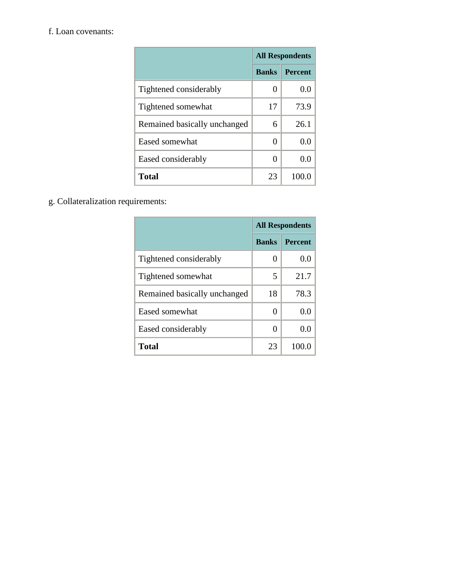#### f. Loan covenants:

|                              | <b>All Respondents</b> |                |
|------------------------------|------------------------|----------------|
|                              | <b>Banks</b>           | <b>Percent</b> |
| Tightened considerably       | 0                      | 0.0            |
| Tightened somewhat           | 17                     | 73.9           |
| Remained basically unchanged | 6                      | 26.1           |
| Eased somewhat               | $\theta$               | 0.0            |
| Eased considerably           | 0                      | 0.0            |
| <b>Total</b>                 | 23                     | 100.0          |

g. Collateralization requirements:

|                              | <b>All Respondents</b> |                |
|------------------------------|------------------------|----------------|
|                              | <b>Banks</b>           | <b>Percent</b> |
| Tightened considerably       | $\mathbf{\Omega}$      | 0.0            |
| Tightened somewhat           | 5                      | 21.7           |
| Remained basically unchanged | 18                     | 78.3           |
| Eased somewhat               | $\mathbf{\Omega}$      | 0.0            |
| Eased considerably           | 0                      | 0.0            |
| Total                        | 23                     | 100.0          |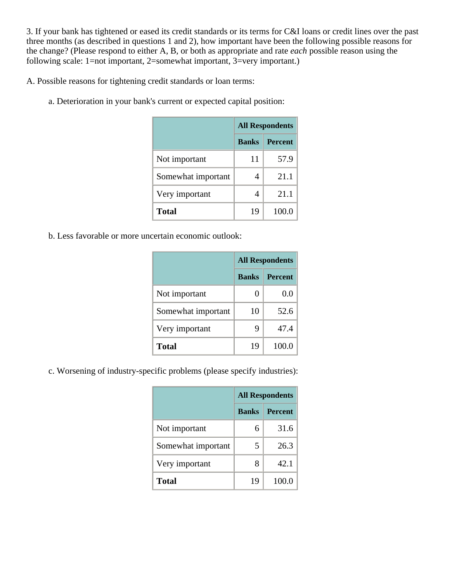3. If your bank has tightened or eased its credit standards or its terms for C&I loans or credit lines over the past three months (as described in questions 1 and 2), how important have been the following possible reasons for the change? (Please respond to either A, B, or both as appropriate and rate *each* possible reason using the following scale: 1=not important, 2=somewhat important, 3=very important.)

A. Possible reasons for tightening credit standards or loan terms:

a. Deterioration in your bank's current or expected capital position:

|                    | <b>All Respondents</b> |                |
|--------------------|------------------------|----------------|
|                    | <b>Banks</b>           | <b>Percent</b> |
| Not important      | 11                     | 57.9           |
| Somewhat important | 4                      | 21.1           |
| Very important     | 4                      | 21.1           |
| <b>Total</b>       | 19                     | 100.0          |

b. Less favorable or more uncertain economic outlook:

|                    | <b>All Respondents</b> |                |
|--------------------|------------------------|----------------|
|                    | <b>Banks</b>           | <b>Percent</b> |
| Not important      |                        | 0.0            |
| Somewhat important | 10                     | 52.6           |
| Very important     | 9                      | 47.4           |
| <b>Total</b>       | 19                     | 100.0          |

c. Worsening of industry-specific problems (please specify industries):

|                    | <b>All Respondents</b> |                |
|--------------------|------------------------|----------------|
|                    | <b>Banks</b>           | <b>Percent</b> |
| Not important      | 6                      | 31.6           |
| Somewhat important | 5                      | 26.3           |
| Very important     | 8                      | 42.1           |
| <b>Total</b>       | 19                     | 100.0          |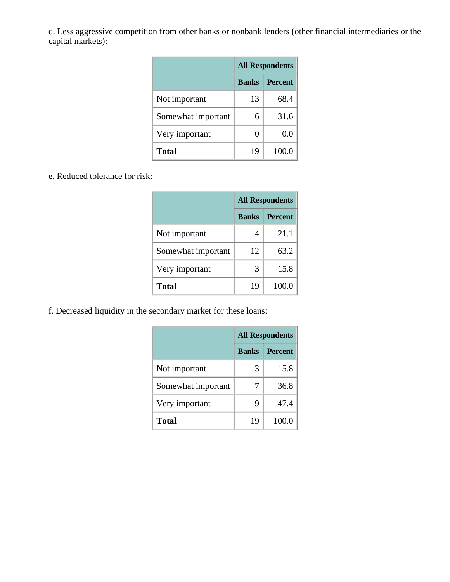d. Less aggressive competition from other banks or nonbank lenders (other financial intermediaries or the capital markets):

|                    | <b>All Respondents</b> |                |
|--------------------|------------------------|----------------|
|                    | <b>Banks</b>           | <b>Percent</b> |
| Not important      | 13                     | 68.4           |
| Somewhat important | 6                      | 31.6           |
| Very important     | 0                      | 0.0            |
| Total              | 19                     | 100.0          |

#### e. Reduced tolerance for risk:

|                    | <b>All Respondents</b> |                |
|--------------------|------------------------|----------------|
|                    | <b>Banks</b>           | <b>Percent</b> |
| Not important      | 4                      | 21.1           |
| Somewhat important | 12                     | 63.2           |
| Very important     | 3                      | 15.8           |
| <b>Total</b>       | 19                     | 100.0          |

f. Decreased liquidity in the secondary market for these loans:

|                    | <b>All Respondents</b> |                |
|--------------------|------------------------|----------------|
|                    | <b>Banks</b>           | <b>Percent</b> |
| Not important      | 3                      | 15.8           |
| Somewhat important | 7                      | 36.8           |
| Very important     | 9                      | 47.4           |
| Total              | 19                     | 100.0          |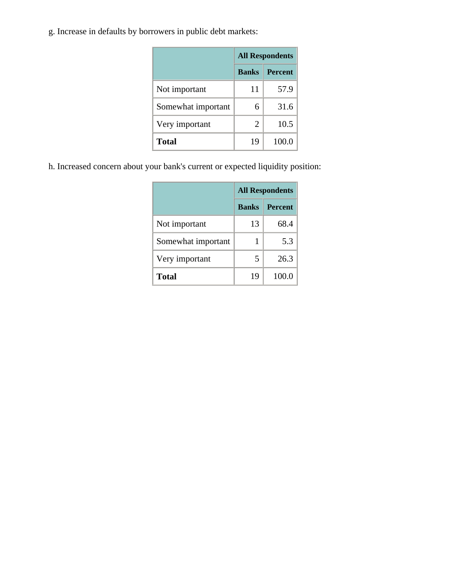g. Increase in defaults by borrowers in public debt markets:

|                    | <b>All Respondents</b> |                |
|--------------------|------------------------|----------------|
|                    | <b>Banks</b>           | <b>Percent</b> |
| Not important      | 11                     | 57.9           |
| Somewhat important | 6                      | 31.6           |
| Very important     | $\overline{2}$         | 10.5           |
| <b>Total</b>       | 19                     | 100.0          |

h. Increased concern about your bank's current or expected liquidity position:

|                    | <b>All Respondents</b> |                |
|--------------------|------------------------|----------------|
|                    | <b>Banks</b>           | <b>Percent</b> |
| Not important      | 13                     | 68.4           |
| Somewhat important | 1                      | 5.3            |
| Very important     | 5                      | 26.3           |
| <b>Total</b>       | 19                     | 100.0          |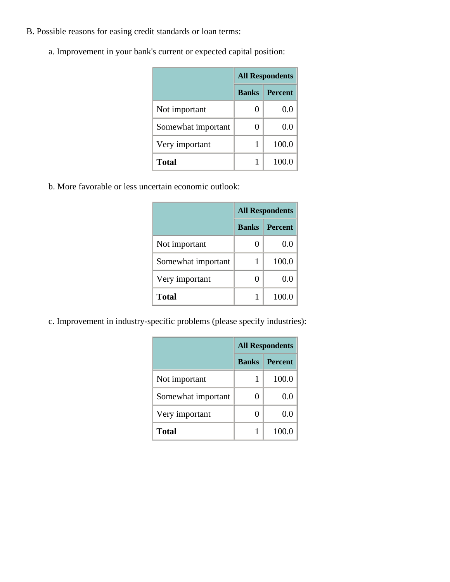- B. Possible reasons for easing credit standards or loan terms:
	- a. Improvement in your bank's current or expected capital position:

|                    | <b>All Respondents</b> |                |
|--------------------|------------------------|----------------|
|                    | <b>Banks</b>           | <b>Percent</b> |
| Not important      | 0                      | 0.0            |
| Somewhat important | 0                      | 0.0            |
| Very important     |                        | 100.0          |
| <b>Total</b>       |                        | 100.0          |

b. More favorable or less uncertain economic outlook:

|                    | <b>All Respondents</b> |                |
|--------------------|------------------------|----------------|
|                    | <b>Banks</b>           | <b>Percent</b> |
| Not important      | 0                      | 0.0            |
| Somewhat important |                        | 100.0          |
| Very important     | 0                      | 0.0            |
| <b>Total</b>       |                        | 100.0          |

c. Improvement in industry-specific problems (please specify industries):

|                    | <b>All Respondents</b> |                |
|--------------------|------------------------|----------------|
|                    | <b>Banks</b>           | <b>Percent</b> |
| Not important      |                        | 100.0          |
| Somewhat important |                        | 0.0            |
| Very important     |                        | 0.0            |
| Total              |                        | 100.0          |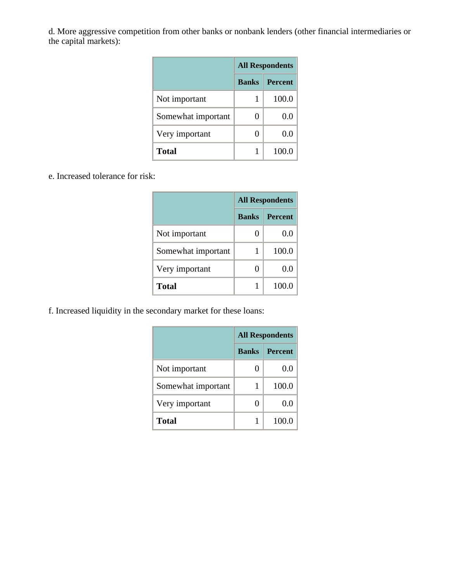d. More aggressive competition from other banks or nonbank lenders (other financial intermediaries or the capital markets):

|                    | <b>All Respondents</b> |                |
|--------------------|------------------------|----------------|
|                    | <b>Banks</b>           | <b>Percent</b> |
| Not important      |                        | 100.0          |
| Somewhat important |                        | 0.0            |
| Very important     |                        | 0.0            |
| Total              |                        | 100.0          |

e. Increased tolerance for risk:

|                    | <b>All Respondents</b> |                |
|--------------------|------------------------|----------------|
|                    | <b>Banks</b>           | <b>Percent</b> |
| Not important      | 0                      | 0.0            |
| Somewhat important |                        | 100.0          |
| Very important     | 0                      | 0.0            |
| <b>Total</b>       |                        | 100.0          |

f. Increased liquidity in the secondary market for these loans:

|                    | <b>All Respondents</b> |                |
|--------------------|------------------------|----------------|
|                    | <b>Banks</b>           | <b>Percent</b> |
| Not important      |                        | 0.0            |
| Somewhat important |                        | 100.0          |
| Very important     |                        | 0.0            |
| <b>Total</b>       |                        | 100.0          |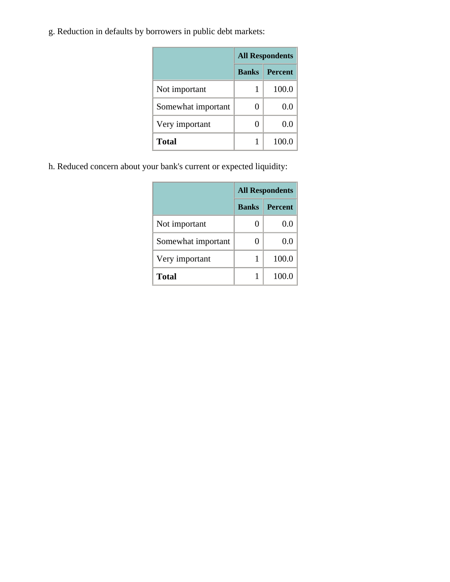g. Reduction in defaults by borrowers in public debt markets:

|                    | <b>All Respondents</b> |                |
|--------------------|------------------------|----------------|
|                    | <b>Banks</b>           | <b>Percent</b> |
| Not important      | 1                      | 100.0          |
| Somewhat important | 0                      | 0.0            |
| Very important     | 0                      | 0.0            |
| <b>Total</b>       |                        | 100.0          |

h. Reduced concern about your bank's current or expected liquidity:

|                    | <b>All Respondents</b> |                |
|--------------------|------------------------|----------------|
|                    | <b>Banks</b>           | <b>Percent</b> |
| Not important      | 0                      | 0.f            |
| Somewhat important | 0                      | 0.0            |
| Very important     | 1                      | 100.0          |
| <b>Total</b>       |                        | 100.0          |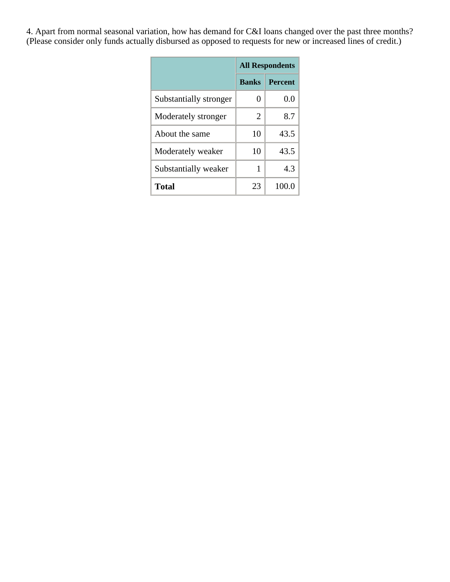4. Apart from normal seasonal variation, how has demand for C&I loans changed over the past three months? (Please consider only funds actually disbursed as opposed to requests for new or increased lines of credit.)

|                        | <b>All Respondents</b> |                |
|------------------------|------------------------|----------------|
|                        | <b>Banks</b>           | <b>Percent</b> |
| Substantially stronger | 0                      | 0.0            |
| Moderately stronger    | $\overline{2}$         | 8.7            |
| About the same         | 10                     | 43.5           |
| Moderately weaker      | 10                     | 43.5           |
| Substantially weaker   | 1                      | 4.3            |
| <b>Total</b>           | 23                     | 100.0          |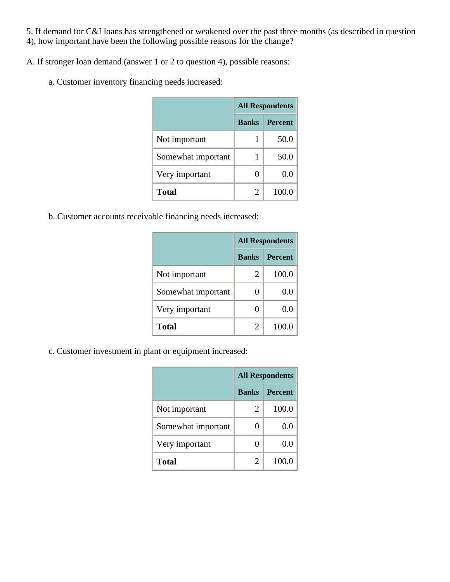5. If demand for C&I loans has strengthened or weakened over the past three months (as described in question 4), how important have been the following possible reasons for the change?

A. If stronger loan demand (answer 1 or 2 to question 4), possible reasons:

a. Customer inventory financing needs increased:

|                    | <b>All Respondents</b> |                |
|--------------------|------------------------|----------------|
|                    | <b>Banks</b>           | <b>Percent</b> |
| Not important      |                        | 50.0           |
| Somewhat important | 1                      | 50.0           |
| Very important     | 0                      | 0.0            |
| <b>Total</b>       | $\overline{2}$         | 100.0          |

b. Customer accounts receivable financing needs increased:

|                    | <b>All Respondents</b> |                |
|--------------------|------------------------|----------------|
|                    | <b>Banks</b>           | <b>Percent</b> |
| Not important      | 2                      | 100.0          |
| Somewhat important | 0                      | 0.0            |
| Very important     | 0                      | 0.0            |
| <b>Total</b>       | 2                      | 100.0          |

c. Customer investment in plant or equipment increased:

|                    | <b>All Respondents</b> |                |
|--------------------|------------------------|----------------|
|                    | <b>Banks</b>           | <b>Percent</b> |
| Not important      | 2                      | 100.0          |
| Somewhat important |                        | 0.0            |
| Very important     |                        | 0.0            |
| <b>Total</b>       | $\overline{2}$         | 100.0          |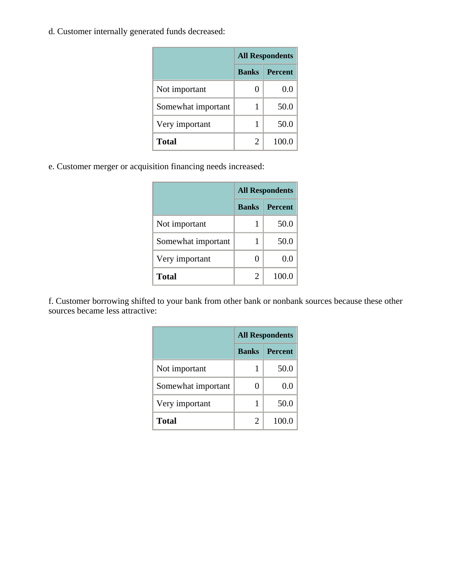d. Customer internally generated funds decreased:

|                    | <b>All Respondents</b> |                |
|--------------------|------------------------|----------------|
|                    | <b>Banks</b>           | <b>Percent</b> |
| Not important      | 0                      | $0.0\,$        |
| Somewhat important | 1                      | 50.0           |
| Very important     | 1                      | 50.0           |
| <b>Total</b>       | 2                      | 100.0          |

e. Customer merger or acquisition financing needs increased:

|                    | <b>All Respondents</b> |                |
|--------------------|------------------------|----------------|
|                    | <b>Banks</b>           | <b>Percent</b> |
| Not important      | 1                      | 50.0           |
| Somewhat important | 1                      | 50.0           |
| Very important     | 0                      | 0.0            |
| <b>Total</b>       | $\mathfrak{D}$         | 100.0          |

f. Customer borrowing shifted to your bank from other bank or nonbank sources because these other sources became less attractive:

|                    | <b>All Respondents</b> |                |
|--------------------|------------------------|----------------|
|                    | <b>Banks</b>           | <b>Percent</b> |
| Not important      |                        | 50.0           |
| Somewhat important | 0                      | 0.0            |
| Very important     |                        | 50.0           |
| <b>Total</b>       | 2                      | 100.0          |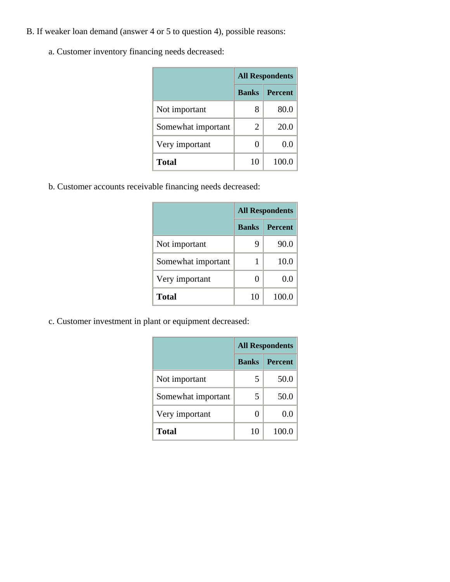- B. If weaker loan demand (answer 4 or 5 to question 4), possible reasons:
	- a. Customer inventory financing needs decreased:

|                    | <b>All Respondents</b> |                |
|--------------------|------------------------|----------------|
|                    | <b>Banks</b>           | <b>Percent</b> |
| Not important      | 8                      | 80.0           |
| Somewhat important | 2                      | 20.0           |
| Very important     | 0                      | 0.0            |
| <b>Total</b>       | 10                     | 100.0          |

b. Customer accounts receivable financing needs decreased:

|                    | <b>All Respondents</b> |                |
|--------------------|------------------------|----------------|
|                    | <b>Banks</b>           | <b>Percent</b> |
| Not important      | 9                      | 90.0           |
| Somewhat important | 1                      | 10.0           |
| Very important     | 0                      | 0.0            |
| <b>Total</b>       | 10                     | 100.0          |

c. Customer investment in plant or equipment decreased:

|                    | <b>All Respondents</b> |                |
|--------------------|------------------------|----------------|
|                    | <b>Banks</b>           | <b>Percent</b> |
| Not important      | 5                      | 50.0           |
| Somewhat important | 5                      | 50.0           |
| Very important     | 0                      | 0.0            |
| <b>Total</b>       | 10                     | 100.0          |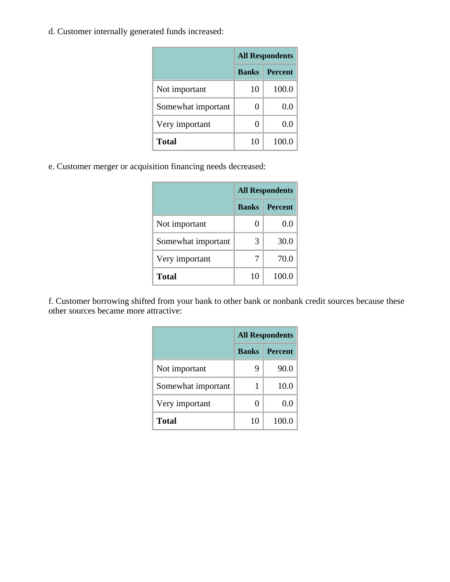d. Customer internally generated funds increased:

|                    | <b>All Respondents</b> |                |
|--------------------|------------------------|----------------|
|                    | <b>Banks</b>           | <b>Percent</b> |
| Not important      | 10                     | 100.0          |
| Somewhat important | 0                      | 0.0            |
| Very important     | 0                      | 0.0            |
| <b>Total</b>       | 10                     | 100.0          |

e. Customer merger or acquisition financing needs decreased:

|                    | <b>All Respondents</b> |                |
|--------------------|------------------------|----------------|
|                    | <b>Banks</b>           | <b>Percent</b> |
| Not important      | 0                      | 0.0            |
| Somewhat important | 3                      | 30.0           |
| Very important     | 7                      | 70.0           |
| <b>Total</b>       | 10                     | 100.0          |

f. Customer borrowing shifted from your bank to other bank or nonbank credit sources because these other sources became more attractive:

|                    | <b>All Respondents</b> |                |
|--------------------|------------------------|----------------|
|                    | <b>Banks</b>           | <b>Percent</b> |
| Not important      | 9                      | 90.0           |
| Somewhat important | 1                      | 10.0           |
| Very important     | 0                      | 0.0            |
| <b>Total</b>       | 10                     | 100.0          |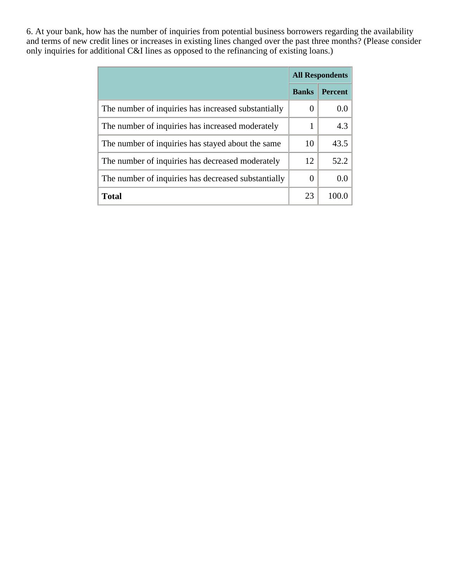6. At your bank, how has the number of inquiries from potential business borrowers regarding the availability and terms of new credit lines or increases in existing lines changed over the past three months? (Please consider only inquiries for additional C&I lines as opposed to the refinancing of existing loans.)

|                                                     | <b>All Respondents</b> |                |
|-----------------------------------------------------|------------------------|----------------|
|                                                     | <b>Banks</b>           | <b>Percent</b> |
| The number of inquiries has increased substantially | $\left( \right)$       | 0.0            |
| The number of inquiries has increased moderately    | 1                      | 4.3            |
| The number of inquiries has stayed about the same   | 10                     | 43.5           |
| The number of inquiries has decreased moderately    | 12                     | 52.2           |
| The number of inquiries has decreased substantially | $\left($               | 0.0            |
| <b>Total</b>                                        | 23                     | 100.0          |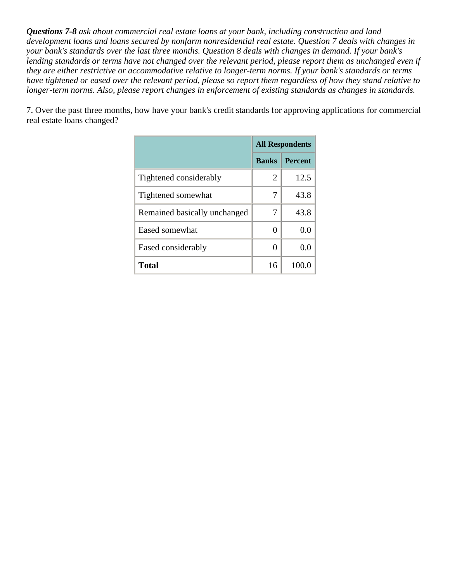*Questions 7-8 ask about commercial real estate loans at your bank, including construction and land development loans and loans secured by nonfarm nonresidential real estate. Question 7 deals with changes in your bank's standards over the last three months. Question 8 deals with changes in demand. If your bank's*  lending standards or terms have not changed over the relevant period, please report them as unchanged even if *they are either restrictive or accommodative relative to longer-term norms. If your bank's standards or terms have tightened or eased over the relevant period, please so report them regardless of how they stand relative to longer-term norms. Also, please report changes in enforcement of existing standards as changes in standards.* 

7. Over the past three months, how have your bank's credit standards for approving applications for commercial real estate loans changed?

|                              | <b>All Respondents</b> |                |
|------------------------------|------------------------|----------------|
|                              | <b>Banks</b>           | <b>Percent</b> |
| Tightened considerably       | 2                      | 12.5           |
| Tightened somewhat           | 7                      | 43.8           |
| Remained basically unchanged | 7                      | 43.8           |
| Eased somewhat               | 0                      | 0.0            |
| Eased considerably           | 0                      | 0.0            |
| Total                        | 16                     | 100.0          |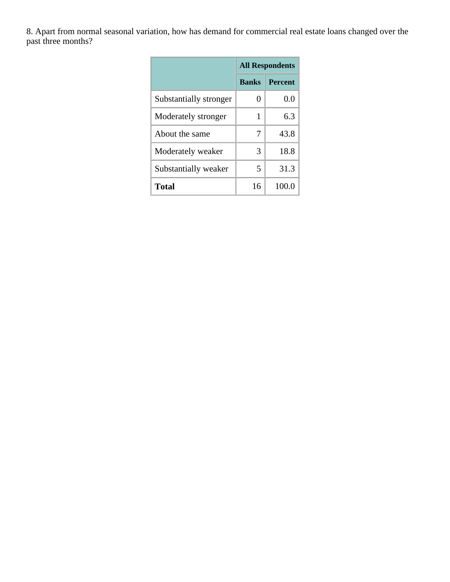8. Apart from normal seasonal variation, how has demand for commercial real estate loans changed over the past three months?

|                        | <b>All Respondents</b> |                |
|------------------------|------------------------|----------------|
|                        | <b>Banks</b>           | <b>Percent</b> |
| Substantially stronger | 0                      | 0.0            |
| Moderately stronger    | 1                      | 6.3            |
| About the same         | 7                      | 43.8           |
| Moderately weaker      | 3                      | 18.8           |
| Substantially weaker   | 5                      | 31.3           |
| <b>Total</b>           | 16                     | 100.0          |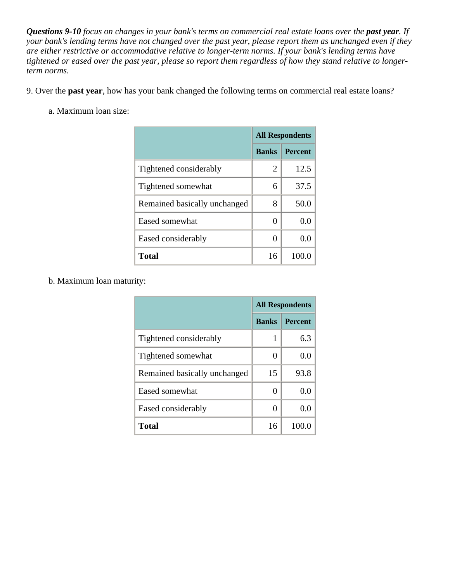*Questions 9-10 focus on changes in your bank's terms on commercial real estate loans over the past year. If your bank's lending terms have not changed over the past year, please report them as unchanged even if they are either restrictive or accommodative relative to longer-term norms. If your bank's lending terms have tightened or eased over the past year, please so report them regardless of how they stand relative to longerterm norms.* 

9. Over the **past year**, how has your bank changed the following terms on commercial real estate loans?

a. Maximum loan size:

|                              | <b>All Respondents</b> |                |
|------------------------------|------------------------|----------------|
|                              | <b>Banks</b>           | <b>Percent</b> |
| Tightened considerably       | 2                      | 12.5           |
| Tightened somewhat           | 6                      | 37.5           |
| Remained basically unchanged | 8                      | 50.0           |
| Eased somewhat               | 0                      | 0.0            |
| Eased considerably           | 0                      | 0.0            |
| Total                        | 16                     | 100.           |

b. Maximum loan maturity:

|                              | <b>All Respondents</b> |                |
|------------------------------|------------------------|----------------|
|                              | <b>Banks</b>           | <b>Percent</b> |
| Tightened considerably       | 1                      | 6.3            |
| Tightened somewhat           | 0                      | 0.0            |
| Remained basically unchanged | 15                     | 93.8           |
| Eased somewhat               | $\theta$               | 0.0            |
| Eased considerably           | 0                      | 0.0            |
| <b>Total</b>                 | 16                     | 100.0          |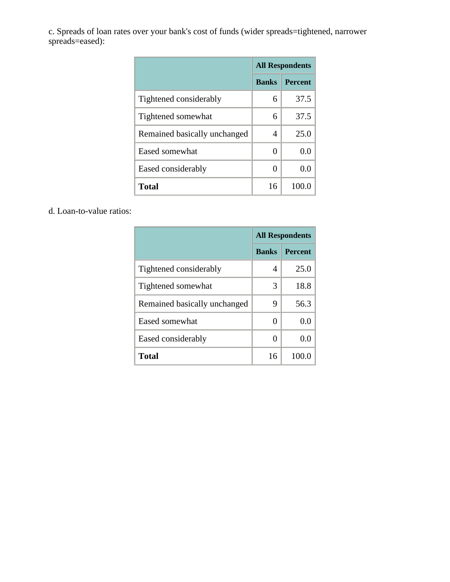c. Spreads of loan rates over your bank's cost of funds (wider spreads=tightened, narrower spreads=eased):

|                              | <b>All Respondents</b> |                |
|------------------------------|------------------------|----------------|
|                              | <b>Banks</b>           | <b>Percent</b> |
| Tightened considerably       | 6                      | 37.5           |
| Tightened somewhat           | 6                      | 37.5           |
| Remained basically unchanged | 4                      | 25.0           |
| Eased somewhat               | 0                      | 0.0            |
| Eased considerably           | 0                      | 0.0            |
| <b>Total</b>                 | 16                     | 100.           |

d. Loan-to-value ratios:

|                              | <b>All Respondents</b> |                |
|------------------------------|------------------------|----------------|
|                              | <b>Banks</b>           | <b>Percent</b> |
| Tightened considerably       | 4                      | 25.0           |
| Tightened somewhat           | 3                      | 18.8           |
| Remained basically unchanged | 9                      | 56.3           |
| Eased somewhat               | 0                      | 0.0            |
| Eased considerably           | 0                      | 0.0            |
| Total                        | 16                     | 100.0          |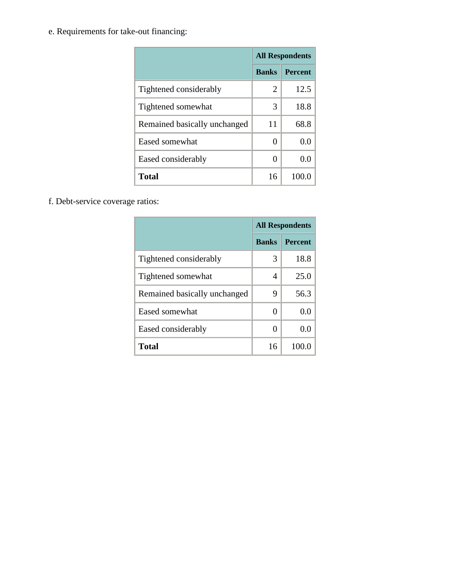e. Requirements for take-out financing:

|                              | <b>All Respondents</b> |                |
|------------------------------|------------------------|----------------|
|                              | <b>Banks</b>           | <b>Percent</b> |
| Tightened considerably       | 2                      | 12.5           |
| Tightened somewhat           | 3                      | 18.8           |
| Remained basically unchanged | 11                     | 68.8           |
| Eased somewhat               | $\theta$               | 0.0            |
| Eased considerably           | 0                      | 0.0            |
| <b>Total</b>                 | 16                     | 100.0          |

f. Debt-service coverage ratios:

|                              | <b>All Respondents</b> |                |
|------------------------------|------------------------|----------------|
|                              | <b>Banks</b>           | <b>Percent</b> |
| Tightened considerably       | 3                      | 18.8           |
| Tightened somewhat           | 4                      | 25.0           |
| Remained basically unchanged | 9                      | 56.3           |
| Eased somewhat               | $\mathbf{0}$           | 0.0            |
| Eased considerably           | 0                      | 0.0            |
| Total                        | 16                     | 100.0          |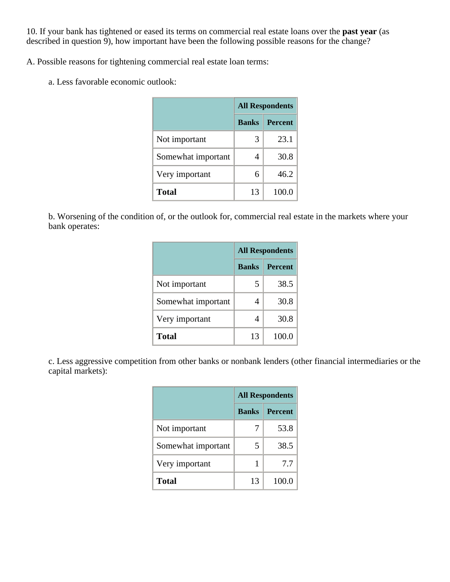10. If your bank has tightened or eased its terms on commercial real estate loans over the **past year** (as described in question 9), how important have been the following possible reasons for the change?

A. Possible reasons for tightening commercial real estate loan terms:

a. Less favorable economic outlook:

|                    | <b>All Respondents</b> |                |
|--------------------|------------------------|----------------|
|                    | <b>Banks</b>           | <b>Percent</b> |
| Not important      | 3                      | 23.1           |
| Somewhat important | 4                      | 30.8           |
| Very important     | 6                      | 46.2           |
| <b>Total</b>       | 13                     | 100.0          |

b. Worsening of the condition of, or the outlook for, commercial real estate in the markets where your bank operates:

|                    | <b>All Respondents</b> |                |
|--------------------|------------------------|----------------|
|                    | <b>Banks</b>           | <b>Percent</b> |
| Not important      | 5                      | 38.5           |
| Somewhat important | 4                      | 30.8           |
| Very important     | 4                      | 30.8           |
| <b>Total</b>       | 13                     | 100.0          |

c. Less aggressive competition from other banks or nonbank lenders (other financial intermediaries or the capital markets):

|                    | <b>All Respondents</b> |                |  |
|--------------------|------------------------|----------------|--|
|                    | <b>Banks</b>           | <b>Percent</b> |  |
| Not important      | 7                      | 53.8           |  |
| Somewhat important | 5                      | 38.5           |  |
| Very important     |                        | 7.7            |  |
| <b>Total</b>       | 13                     | 100.0          |  |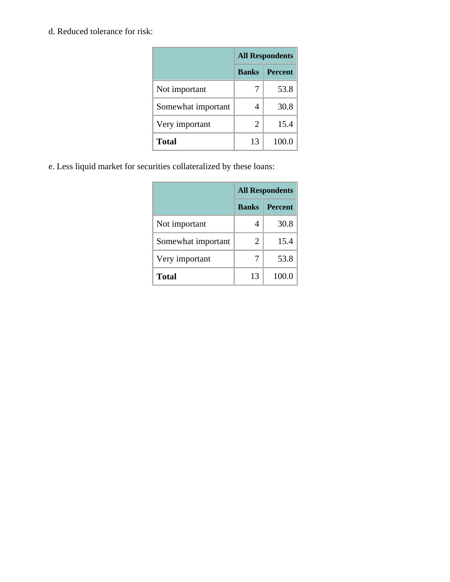d. Reduced tolerance for risk:

|                    | <b>All Respondents</b> |                |  |
|--------------------|------------------------|----------------|--|
|                    | <b>Banks</b>           | <b>Percent</b> |  |
| Not important      |                        | 53.8           |  |
| Somewhat important | 4                      | 30.8           |  |
| Very important     | $\overline{2}$         | 15.4           |  |
| <b>Total</b>       | 13                     | 100.0          |  |

e. Less liquid market for securities collateralized by these loans:

|                    | <b>All Respondents</b> |                |  |
|--------------------|------------------------|----------------|--|
|                    | <b>Banks</b>           | <b>Percent</b> |  |
| Not important      | 4                      | 30.8           |  |
| Somewhat important | 2                      | 15.4           |  |
| Very important     | 7                      | 53.8           |  |
| <b>Total</b>       | 13                     | 100.0          |  |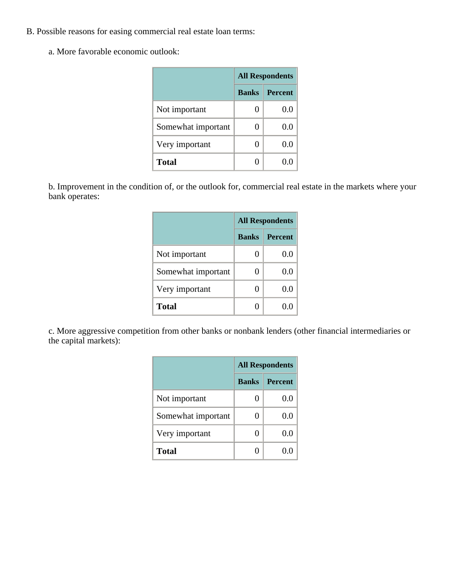- B. Possible reasons for easing commercial real estate loan terms:
	- a. More favorable economic outlook:

|                    | <b>All Respondents</b> |                |  |
|--------------------|------------------------|----------------|--|
|                    | <b>Banks</b>           | <b>Percent</b> |  |
| Not important      | 0                      | 0.0            |  |
| Somewhat important | 0                      | 0.0            |  |
| Very important     | 0                      | $0.0\,$        |  |
| <b>Total</b>       |                        |                |  |

b. Improvement in the condition of, or the outlook for, commercial real estate in the markets where your bank operates:

|                    | <b>All Respondents</b> |                |  |
|--------------------|------------------------|----------------|--|
|                    | <b>Banks</b>           | <b>Percent</b> |  |
| Not important      | 0                      | 0.0            |  |
| Somewhat important | 0                      | 0.0            |  |
| Very important     | 0                      | $0.0\,$        |  |
| <b>Total</b>       | 0                      | 0.0            |  |

c. More aggressive competition from other banks or nonbank lenders (other financial intermediaries or the capital markets):

|                    | <b>All Respondents</b> |                |  |
|--------------------|------------------------|----------------|--|
|                    | <b>Banks</b>           | <b>Percent</b> |  |
| Not important      | 0                      | $0.0\,$        |  |
| Somewhat important | 0                      | $0.0\,$        |  |
| Very important     | 0                      | 0.0            |  |
| <b>Total</b>       | ∩                      | 0.0            |  |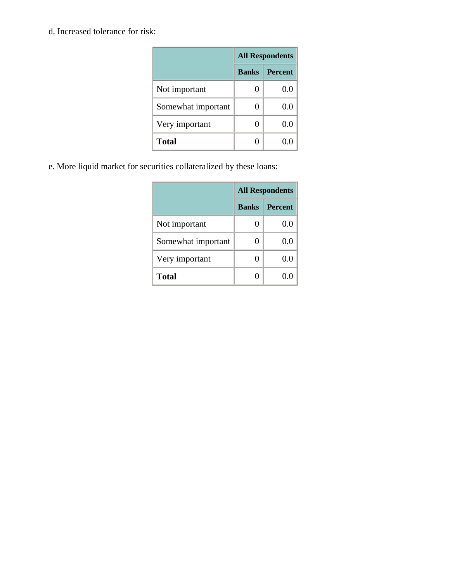d. Increased tolerance for risk:

|                    | <b>All Respondents</b> |                |  |
|--------------------|------------------------|----------------|--|
|                    | <b>Banks</b>           | <b>Percent</b> |  |
| Not important      | 0                      | 0.0            |  |
| Somewhat important | 0                      | 0.0            |  |
| Very important     | 0                      | 0.0            |  |
| <b>Total</b>       | 0                      | 0.0            |  |

e. More liquid market for securities collateralized by these loans:

|                    | <b>All Respondents</b> |                |  |
|--------------------|------------------------|----------------|--|
|                    | <b>Banks</b>           | <b>Percent</b> |  |
| Not important      | 0                      | 0.f            |  |
| Somewhat important | 0                      | 0.0            |  |
| Very important     | 0                      | 0.0            |  |
| <b>Total</b>       | 0                      |                |  |